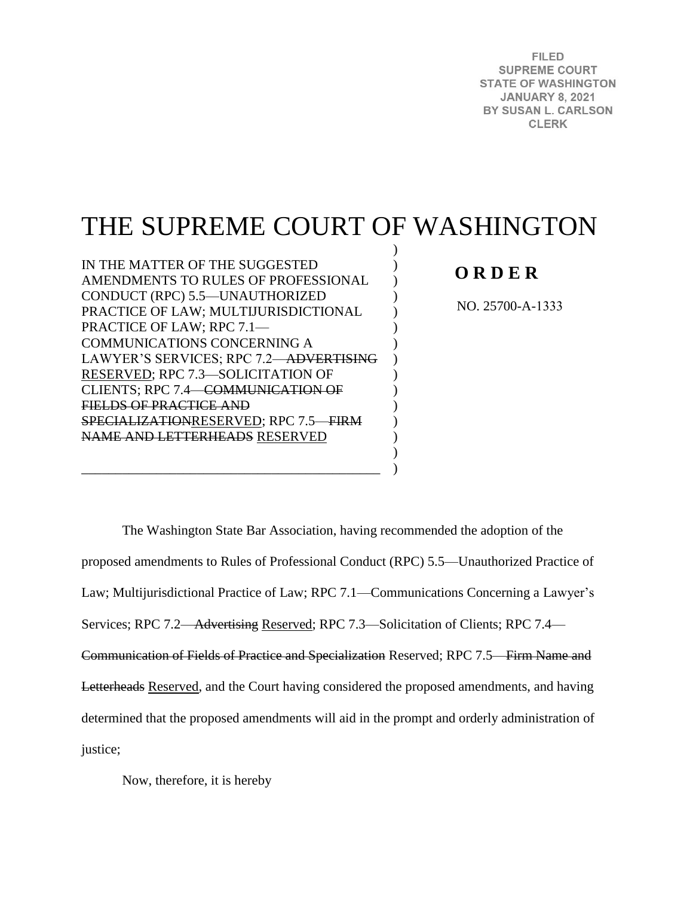**FILED SUPREME COURT STATE OF WASHINGTON JANUARY 8, 2021** BY SUSAN L. CARLSON **CLERK** 

# THE SUPREME COURT OF WASHINGTON

) )  $\lambda$ ) )  $\mathcal{L}$  $\lambda$  $\mathcal{L}$ ) ) ) ) ) ) )

IN THE MATTER OF THE SUGGESTED AMENDMENTS TO RULES OF PROFESSIONAL CONDUCT (RPC) 5.5—UNAUTHORIZED PRACTICE OF LAW; MULTIJURISDICTIONAL PRACTICE OF LAW; RPC 7.1— COMMUNICATIONS CONCERNING A LAWYER'S SERVICES; RPC 7.2—ADVERTISING RESERVED; RPC 7.3—SOLICITATION OF CLIENTS; RPC 7.4—COMMUNICATION OF FIELDS OF PRACTICE AND SPECIALIZATIONRESERVED; RPC 7.5—FIRM NAME AND LETTERHEADS RESERVED

\_\_\_\_\_\_\_\_\_\_\_\_\_\_\_\_\_\_\_\_\_\_\_\_\_\_\_\_\_\_\_\_\_\_\_\_\_\_\_\_\_\_\_\_

### **O R D E R**

NO. 25700-A-1333

The Washington State Bar Association, having recommended the adoption of the proposed amendments to Rules of Professional Conduct (RPC) 5.5—Unauthorized Practice of Law; Multijurisdictional Practice of Law; RPC 7.1—Communications Concerning a Lawyer's Services; RPC 7.2—Advertising Reserved; RPC 7.3—Solicitation of Clients; RPC 7.4— Communication of Fields of Practice and Specialization Reserved; RPC 7.5—Firm Name and Letterheads Reserved, and the Court having considered the proposed amendments, and having determined that the proposed amendments will aid in the prompt and orderly administration of justice;

Now, therefore, it is hereby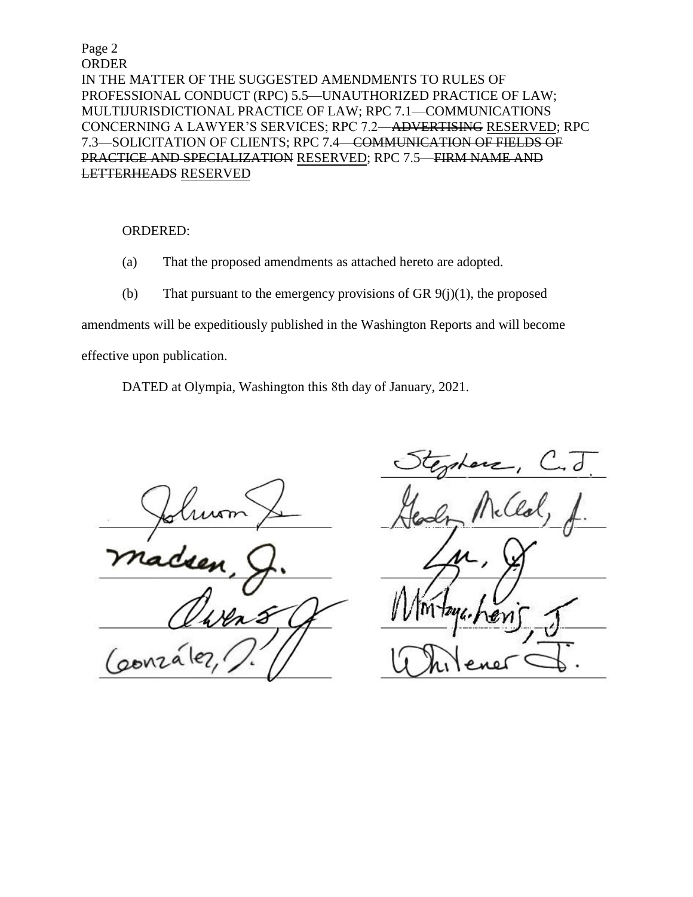Page 2 ORDER IN THE MATTER OF THE SUGGESTED AMENDMENTS TO RULES OF PROFESSIONAL CONDUCT (RPC) 5.5—UNAUTHORIZED PRACTICE OF LAW; MULTIJURISDICTIONAL PRACTICE OF LAW; RPC 7.1—COMMUNICATIONS CONCERNING A LAWYER'S SERVICES; RPC 7.2—ADVERTISING RESERVED; RPC 7.3—SOLICITATION OF CLIENTS; RPC 7.4—COMMUNICATION OF FIELDS OF PRACTICE AND SPECIALIZATION RESERVED; RPC 7.5—FIRM NAME AND LETTERHEADS RESERVED

#### ORDERED:

- (a) That the proposed amendments as attached hereto are adopted.
- (b) That pursuant to the emergency provisions of GR  $9(j)(1)$ , the proposed

amendments will be expeditiously published in the Washington Reports and will become

effective upon publication.

DATED at Olympia, Washington this 8th day of January, 2021.

nadser Coonzález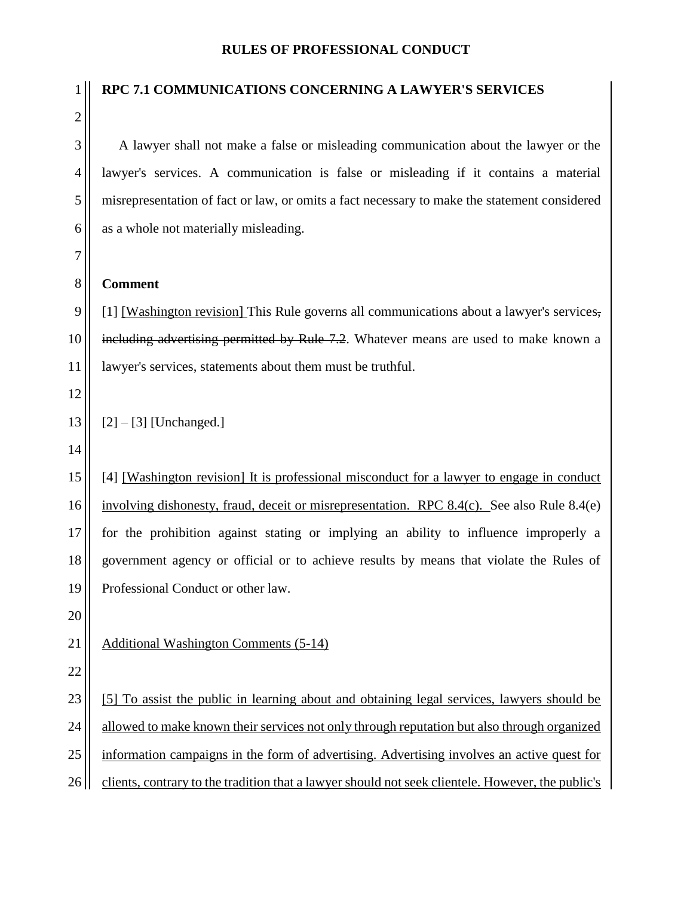| $\mathbf{1}$   | RPC 7.1 COMMUNICATIONS CONCERNING A LAWYER'S SERVICES                                             |
|----------------|---------------------------------------------------------------------------------------------------|
| $\overline{c}$ |                                                                                                   |
| 3              | A lawyer shall not make a false or misleading communication about the lawyer or the               |
| $\overline{4}$ | lawyer's services. A communication is false or misleading if it contains a material               |
| 5              | misrepresentation of fact or law, or omits a fact necessary to make the statement considered      |
| 6              | as a whole not materially misleading.                                                             |
| $\overline{7}$ |                                                                                                   |
| 8              | <b>Comment</b>                                                                                    |
| 9              | [1] [Washington revision] This Rule governs all communications about a lawyer's services,         |
| 10             | including advertising permitted by Rule 7.2. Whatever means are used to make known a              |
| 11             | lawyer's services, statements about them must be truthful.                                        |
| 12             |                                                                                                   |
| 13             | $[2] - [3]$ [Unchanged.]                                                                          |
| 14             |                                                                                                   |
| 15             | [4] [Washington revision] It is professional misconduct for a lawyer to engage in conduct         |
| 16             | involving dishonesty, fraud, deceit or misrepresentation. RPC 8.4(c). See also Rule 8.4(e)        |
| 17             | for the prohibition against stating or implying an ability to influence improperly a              |
| 18             | government agency or official or to achieve results by means that violate the Rules of            |
| 19             | Professional Conduct or other law.                                                                |
| 20             |                                                                                                   |
| 21             | <b>Additional Washington Comments (5-14)</b>                                                      |
| 22             |                                                                                                   |
| 23             | [5] To assist the public in learning about and obtaining legal services, lawyers should be        |
| 24             | allowed to make known their services not only through reputation but also through organized       |
| 25             | information campaigns in the form of advertising. Advertising involves an active quest for        |
| 26             | clients, contrary to the tradition that a lawyer should not seek clientele. However, the public's |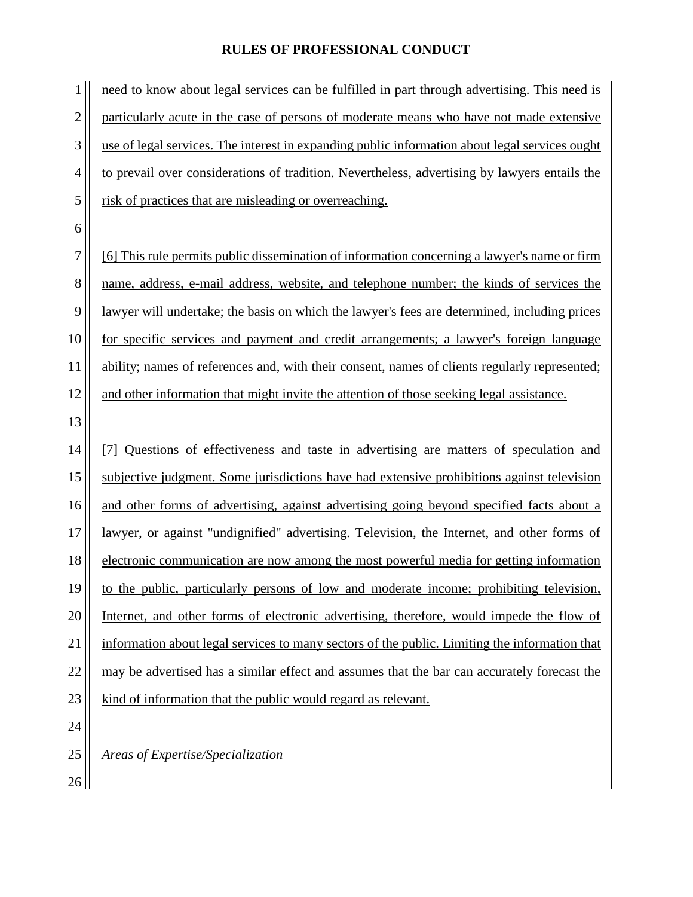1 2 3 4 5 6 7 8 9 10 11 12 13 14 15 16 17 18 19 20 21 22 23 24 25 need to know about legal services can be fulfilled in part through advertising. This need is particularly acute in the case of persons of moderate means who have not made extensive use of legal services. The interest in expanding public information about legal services ought to prevail over considerations of tradition. Nevertheless, advertising by lawyers entails the risk of practices that are misleading or overreaching. [6] This rule permits public dissemination of information concerning a lawyer's name or firm name, address, e-mail address, website, and telephone number; the kinds of services the lawyer will undertake; the basis on which the lawyer's fees are determined, including prices for specific services and payment and credit arrangements; a lawyer's foreign language ability; names of references and, with their consent, names of clients regularly represented; and other information that might invite the attention of those seeking legal assistance. [7] Questions of effectiveness and taste in advertising are matters of speculation and subjective judgment. Some jurisdictions have had extensive prohibitions against television and other forms of advertising, against advertising going beyond specified facts about a lawyer, or against "undignified" advertising. Television, the Internet, and other forms of electronic communication are now among the most powerful media for getting information to the public, particularly persons of low and moderate income; prohibiting television, Internet, and other forms of electronic advertising, therefore, would impede the flow of information about legal services to many sectors of the public. Limiting the information that may be advertised has a similar effect and assumes that the bar can accurately forecast the kind of information that the public would regard as relevant. *Areas of Expertise/Specialization*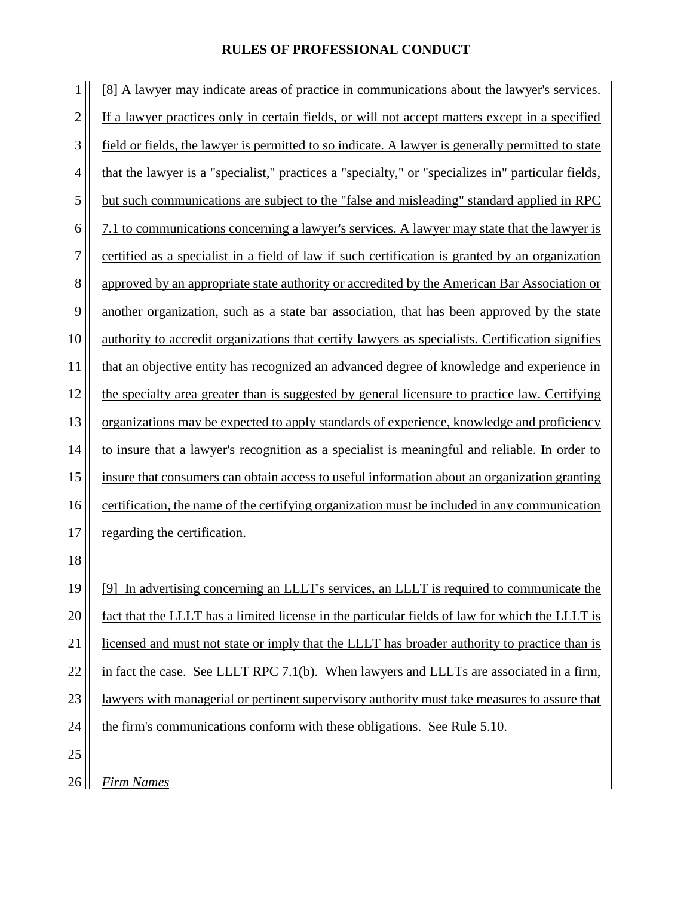1 2 3 4 5 6 7 8 9 10 11 12 13 14 15 16 17 18 [8] A lawyer may indicate areas of practice in communications about the lawyer's services. If a lawyer practices only in certain fields, or will not accept matters except in a specified field or fields, the lawyer is permitted to so indicate. A lawyer is generally permitted to state that the lawyer is a "specialist," practices a "specialty," or "specializes in" particular fields, but such communications are subject to the "false and misleading" standard applied in RPC 7.1 to communications concerning a lawyer's services. A lawyer may state that the lawyer is certified as a specialist in a field of law if such certification is granted by an organization approved by an appropriate state authority or accredited by the American Bar Association or another organization, such as a state bar association, that has been approved by the state authority to accredit organizations that certify lawyers as specialists. Certification signifies that an objective entity has recognized an advanced degree of knowledge and experience in the specialty area greater than is suggested by general licensure to practice law. Certifying organizations may be expected to apply standards of experience, knowledge and proficiency to insure that a lawyer's recognition as a specialist is meaningful and reliable. In order to insure that consumers can obtain access to useful information about an organization granting certification, the name of the certifying organization must be included in any communication regarding the certification.

19 20 21 22 23 24 25 [9] In advertising concerning an LLLT's services, an LLLT is required to communicate the fact that the LLLT has a limited license in the particular fields of law for which the LLLT is licensed and must not state or imply that the LLLT has broader authority to practice than is in fact the case. See LLLT RPC 7.1(b). When lawyers and LLLTs are associated in a firm, lawyers with managerial or pertinent supervisory authority must take measures to assure that the firm's communications conform with these obligations. See Rule 5.10.

26 *Firm Names*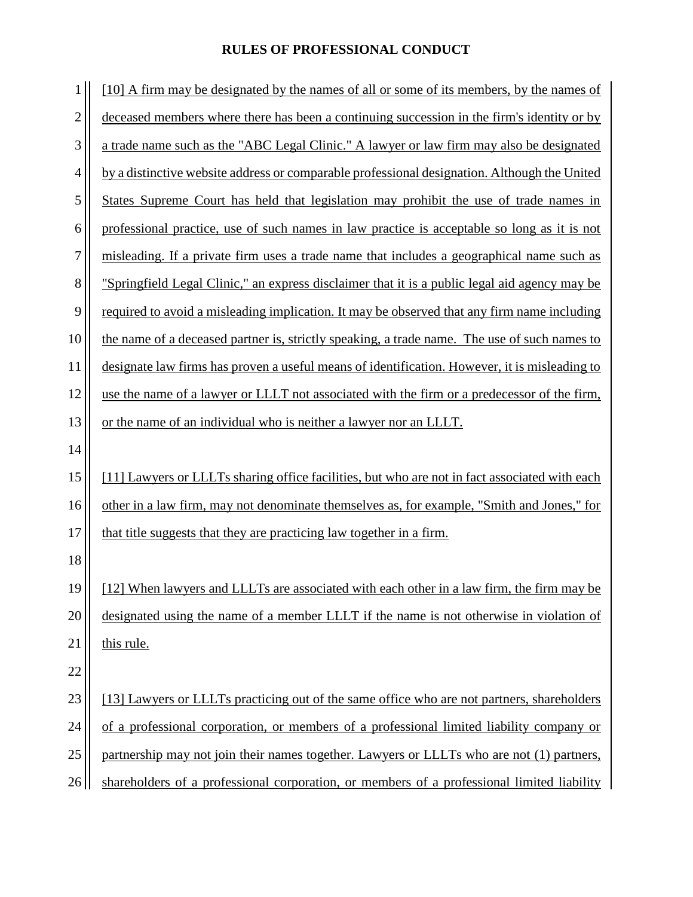| 1              | [10] A firm may be designated by the names of all or some of its members, by the names of     |
|----------------|-----------------------------------------------------------------------------------------------|
| $\overline{2}$ | deceased members where there has been a continuing succession in the firm's identity or by    |
| 3              | a trade name such as the "ABC Legal Clinic." A lawyer or law firm may also be designated      |
| 4              | by a distinctive website address or comparable professional designation. Although the United  |
| 5              | States Supreme Court has held that legislation may prohibit the use of trade names in         |
| 6              | professional practice, use of such names in law practice is acceptable so long as it is not   |
| 7              | misleading. If a private firm uses a trade name that includes a geographical name such as     |
| 8              | "Springfield Legal Clinic," an express disclaimer that it is a public legal aid agency may be |
| 9              | required to avoid a misleading implication. It may be observed that any firm name including   |
| 10             | the name of a deceased partner is, strictly speaking, a trade name. The use of such names to  |
| 11             | designate law firms has proven a useful means of identification. However, it is misleading to |
| 12             | use the name of a lawyer or LLLT not associated with the firm or a predecessor of the firm,   |
| 13             | or the name of an individual who is neither a lawyer nor an LLLT.                             |
| 14             |                                                                                               |
| 15             | [11] Lawyers or LLLTs sharing office facilities, but who are not in fact associated with each |
| 16             | other in a law firm, may not denominate themselves as, for example, "Smith and Jones," for    |
| 17             | that title suggests that they are practicing law together in a firm.                          |
| 18             |                                                                                               |
| 19             | [12] When lawyers and LLLTs are associated with each other in a law firm, the firm may be     |
| 20             | designated using the name of a member LLLT if the name is not otherwise in violation of       |
| 21             | this rule.                                                                                    |
| 22             |                                                                                               |
| 23             | [13] Lawyers or LLLTs practicing out of the same office who are not partners, shareholders    |
| 24             | of a professional corporation, or members of a professional limited liability company or      |
| 25             | partnership may not join their names together. Lawyers or LLLTs who are not (1) partners,     |
| 26             | shareholders of a professional corporation, or members of a professional limited liability    |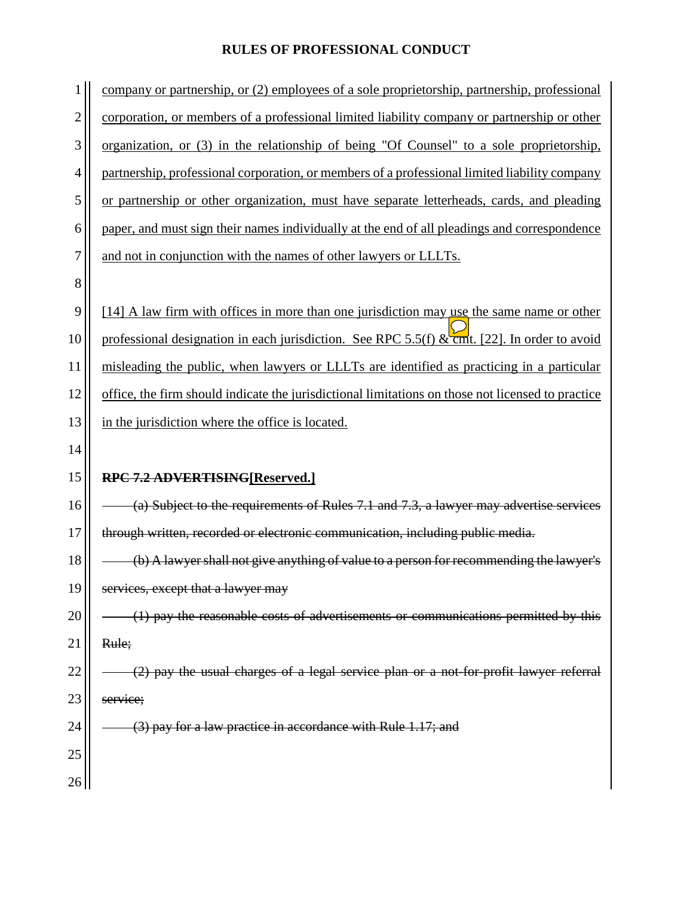|                | company or partnership, or (2) employees of a sole proprietorship, partnership, professional      |
|----------------|---------------------------------------------------------------------------------------------------|
| $\overline{2}$ | corporation, or members of a professional limited liability company or partnership or other       |
| 3              | organization, or (3) in the relationship of being "Of Counsel" to a sole proprietorship,          |
| 4              | partnership, professional corporation, or members of a professional limited liability company     |
| 5              | or partnership or other organization, must have separate letterheads, cards, and pleading         |
| 6              | paper, and must sign their names individually at the end of all pleadings and correspondence      |
| 7              | and not in conjunction with the names of other lawyers or LLLTs.                                  |
| 8              |                                                                                                   |
| 9              | [14] A law firm with offices in more than one jurisdiction may use the same name or other         |
| 10             | professional designation in each jurisdiction. See RPC 5.5(f) & cmt. [22]. In order to avoid      |
| 11             | misleading the public, when lawyers or LLLTs are identified as practicing in a particular         |
| 12             | office, the firm should indicate the jurisdictional limitations on those not licensed to practice |
| 13             | in the jurisdiction where the office is located.                                                  |
|                |                                                                                                   |
| 14             |                                                                                                   |
| 15             | <b>RPC 7.2 ADVERTISING [Reserved.]</b>                                                            |
| 16             | $(a)$ Subject to the requirements of Rules 7.1 and 7.3, a lawyer may advertise services           |
| 17             | through written, recorded or electronic communication, including public media.                    |
| 18             | (b) A lawyer shall not give anything of value to a person for recommending the lawyer's           |
| 19             | services, except that a lawyer may                                                                |
| 20             | (1) pay the reasonable costs of advertisements or communications permitted by this                |
| 21             | Rule;                                                                                             |
| 22             | (2) pay the usual charges of a legal service plan or a not for profit lawyer referral             |
| 23             | service;                                                                                          |
| 24             | (3) pay for a law practice in accordance with Rule 1.17; and                                      |
| 25             |                                                                                                   |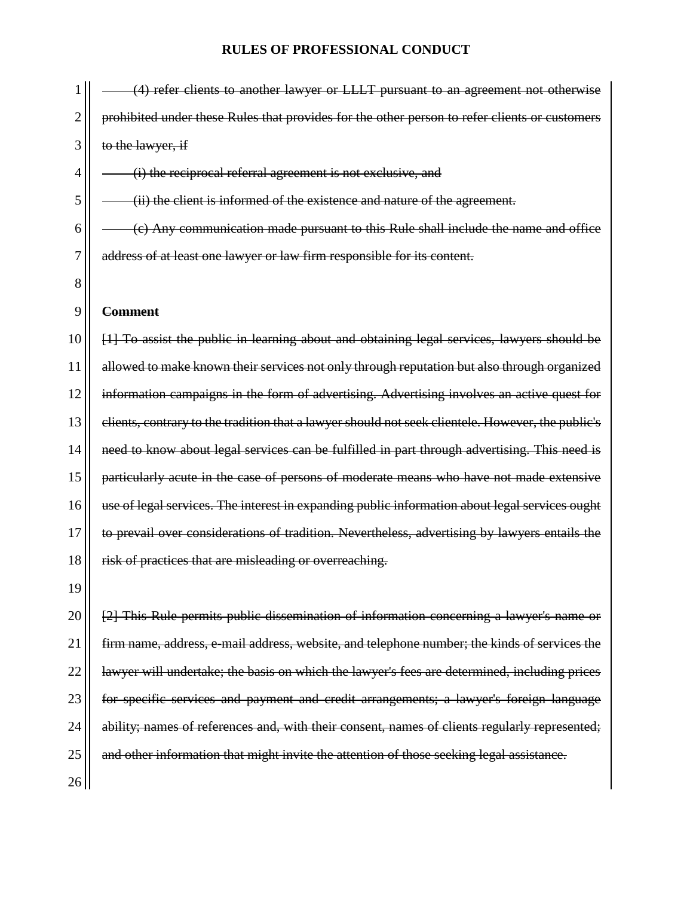| 1  | (4) refer clients to another lawyer or LLLT pursuant to an agreement not otherwise                |
|----|---------------------------------------------------------------------------------------------------|
| 2  | prohibited under these Rules that provides for the other person to refer clients or customers     |
| 3  | to the lawyer, if                                                                                 |
| 4  | (i) the reciprocal referral agreement is not exclusive, and                                       |
| 5  | (ii) the client is informed of the existence and nature of the agreement.                         |
| 6  | (c) Any communication made pursuant to this Rule shall include the name and office                |
| 7  | address of at least one lawyer or law firm responsible for its content.                           |
| 8  |                                                                                                   |
| 9  | <b>Comment</b>                                                                                    |
| 10 | [1] To assist the public in learning about and obtaining legal services, lawyers should be        |
| 11 | allowed to make known their services not only through reputation but also through organized       |
| 12 | information campaigns in the form of advertising. Advertising involves an active quest for        |
| 13 | clients, contrary to the tradition that a lawyer should not seek clientele. However, the public's |
| 14 | need to know about legal services can be fulfilled in part through advertising. This need is      |
| 15 | particularly acute in the case of persons of moderate means who have not made extensive           |
| 16 | use of legal services. The interest in expanding public information about legal services ought    |
| 17 | to prevail over considerations of tradition. Nevertheless, advertising by lawyers entails the     |
| 18 | risk of practices that are misleading or overreaching.                                            |
| 19 |                                                                                                   |
| 20 | [2] This Rule permits public dissemination of information concerning a lawyer's name or           |
| 21 | firm name, address, e-mail address, website, and telephone number; the kinds of services the      |
| 22 | lawyer will undertake; the basis on which the lawyer's fees are determined, including prices      |
| 23 | for specific services and payment and credit arrangements; a lawyer's foreign language            |
| 24 | ability; names of references and, with their consent, names of clients regularly represented;     |
| 25 | and other information that might invite the attention of those seeking legal assistance.          |
| 26 |                                                                                                   |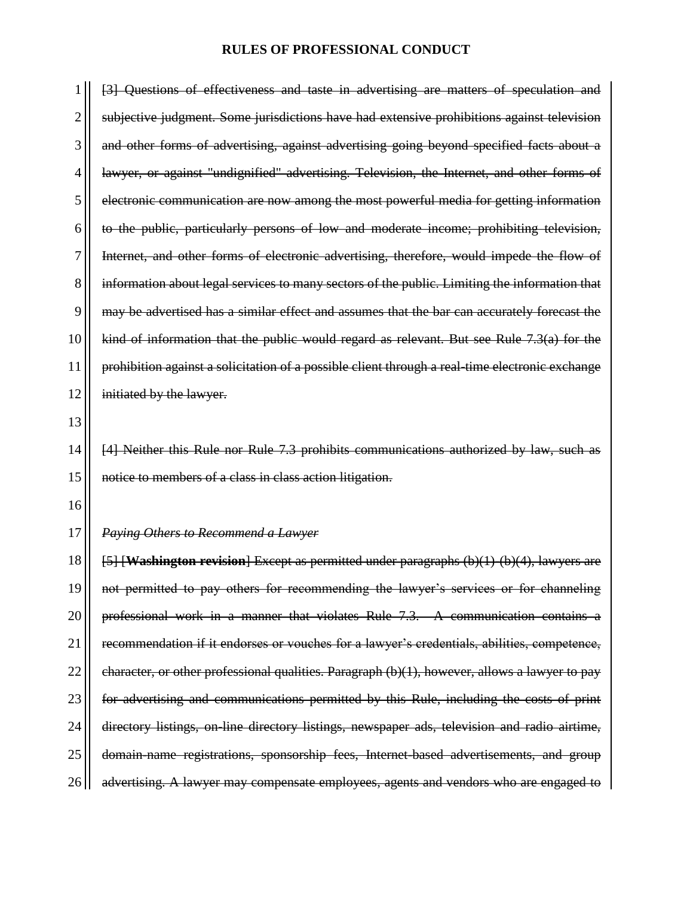|                | [3] Questions of effectiveness and taste in advertising are matters of speculation and          |
|----------------|-------------------------------------------------------------------------------------------------|
| $\overline{c}$ | subjective judgment. Some jurisdictions have had extensive prohibitions against television      |
| 3              | and other forms of advertising, against advertising going beyond specified facts about a        |
| 4              | lawyer, or against "undignified" advertising. Television, the Internet, and other forms of      |
| 5              | electronic communication are now among the most powerful media for getting information          |
| 6              | to the public, particularly persons of low and moderate income; prohibiting television,         |
| 7              | Internet, and other forms of electronic advertising, therefore, would impede the flow of        |
| 8              | information about legal services to many sectors of the public. Limiting the information that   |
| 9              | may be advertised has a similar effect and assumes that the bar can accurately forecast the     |
| 10             | kind of information that the public would regard as relevant. But see Rule $7.3(a)$ for the     |
| 11             | prohibition against a solicitation of a possible client through a real-time electronic exchange |
| 12             | initiated by the lawyer.                                                                        |
| 13             |                                                                                                 |
| 14             | [4] Neither this Rule nor Rule 7.3 prohibits communications authorized by law, such as          |
| 15             | notice to members of a class in class action litigation.                                        |
| 16             |                                                                                                 |
| 17             | Paying Others to Recommend a Lawyer                                                             |
| 18             | [5] [Washington revision] Except as permitted under paragraphs (b)(1) (b)(4), lawyers are       |
| 19             | not permitted to pay others for recommending the lawyer's services or for channeling            |
| 20             | professional work in a manner that violates Rule 7.3. A communication contains a                |
| 21             | recommendation if it endorses or vouches for a lawyer's credentials, abilities, competence,     |
| 22             |                                                                                                 |
|                | character, or other professional qualities. Paragraph (b)(1), however, allows a lawyer to pay   |
| 23             | for advertising and communications permitted by this Rule, including the costs of print         |
| 24             | directory listings, on-line directory listings, newspaper ads, television and radio airtime,    |
| 25             | domain-name registrations, sponsorship fees, Internet-based advertisements, and group           |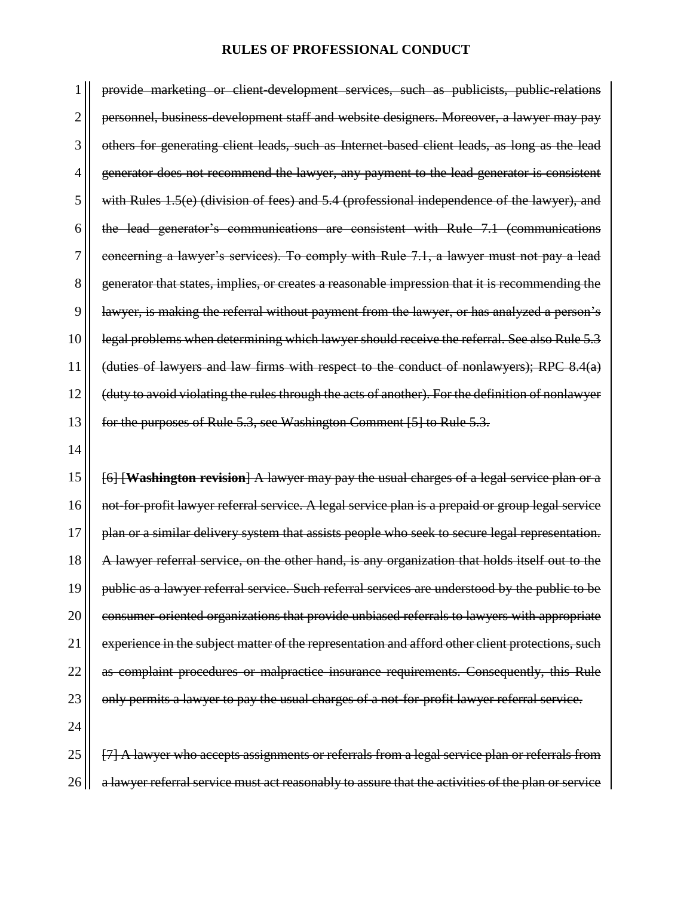|    | marketing or client-development services, such as publicists, public-relations                   |
|----|--------------------------------------------------------------------------------------------------|
| 2  | personnel, business development staff and website designers. Moreover, a lawyer may pay          |
| 3  | others for generating client leads, such as Internet-based client leads, as long as the lead     |
| 4  | generator does not recommend the lawyer, any payment to the lead generator is consistent         |
| 5  | with Rules 1.5(e) (division of fees) and 5.4 (professional independence of the lawyer), and      |
| 6  | lead generator's communications are consistent with Rule 7.1 (communications                     |
|    | concerning a lawyer's services). To comply with Rule 7.1, a lawyer must not pay a lead           |
| 8  | generator that states, implies, or creates a reasonable impression that it is recommending the   |
| 9  | lawyer, is making the referral without payment from the lawyer, or has analyzed a person's       |
| 10 | legal problems when determining which lawyer should receive the referral. See also Rule 5.3      |
| 11 | (duties of lawyers and law firms with respect to the conduct of nonlawyers); RPC 8.4(a)          |
| 12 | (duty to avoid violating the rules through the acts of another). For the definition of nonlawyer |
| 13 | for the purposes of Rule 5.3, see Washington Comment [5] to Rule 5.3.                            |
| 14 |                                                                                                  |

15 16 17 18 19 20 21 22 23 [6] [**Washington revision**] A lawyer may pay the usual charges of a legal service plan or a not-for-profit lawyer referral service. A legal service plan is a prepaid or group legal service plan or a similar delivery system that assists people who seek to secure legal representation. A lawyer referral service, on the other hand, is any organization that holds itself out to the public as a lawyer referral service. Such referral services are understood by the public to be consumer-oriented organizations that provide unbiased referrals to lawyers with appropriate experience in the subject matter of the representation and afford other client protections, such as complaint procedures or malpractice insurance requirements. Consequently, this Rule only permits a lawyer to pay the usual charges of a not-for-profit lawyer referral service.

24

25 26 [7] A lawyer who accepts assignments or referrals from a legal service plan or referrals from a lawyer referral service must act reasonably to assure that the activities of the plan or service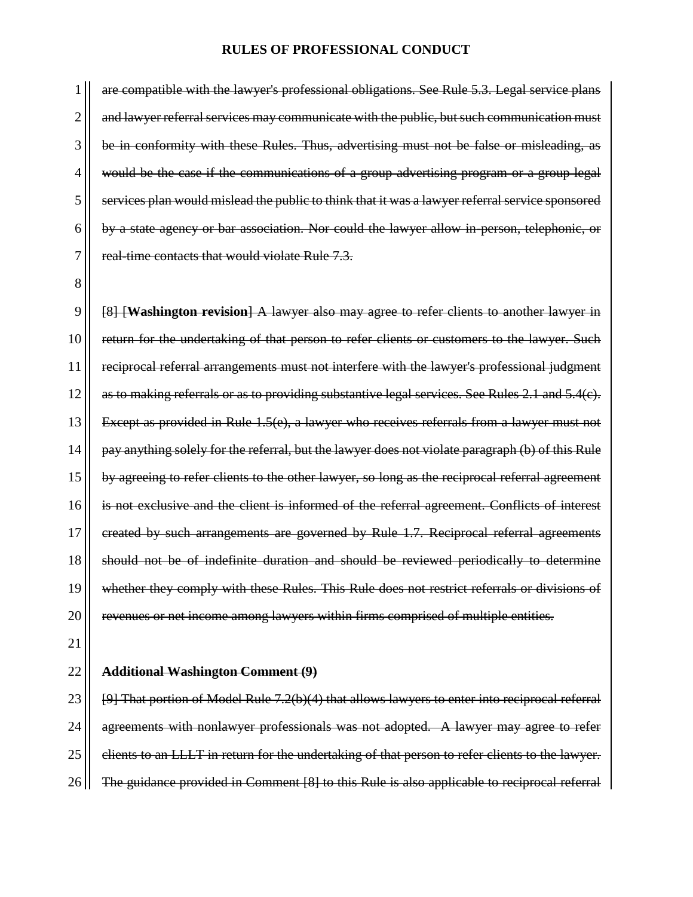1 2 3 4 5 6 7 are compatible with the lawyer's professional obligations. See Rule 5.3. Legal service plans and lawyer referral services may communicate with the public, but such communication must be in conformity with these Rules. Thus, advertising must not be false or misleading, as would be the case if the communications of a group advertising program or a group legal services plan would mislead the public to think that it was a lawyer referral service sponsored by a state agency or bar association. Nor could the lawyer allow in-person, telephonic, or real-time contacts that would violate Rule 7.3.

9 10 11 12 13 14 15 16 17 18 19 20 [8] [**Washington revision**] A lawyer also may agree to refer clients to another lawyer in return for the undertaking of that person to refer clients or customers to the lawyer. Such reciprocal referral arrangements must not interfere with the lawyer's professional judgment as to making referrals or as to providing substantive legal services. See Rules 2.1 and 5.4(c). Except as provided in Rule 1.5(e), a lawyer who receives referrals from a lawyer must not pay anything solely for the referral, but the lawyer does not violate paragraph (b) of this Rule by agreeing to refer clients to the other lawyer, so long as the reciprocal referral agreement is not exclusive and the client is informed of the referral agreement. Conflicts of interest created by such arrangements are governed by Rule 1.7. Reciprocal referral agreements should not be of indefinite duration and should be reviewed periodically to determine whether they comply with these Rules. This Rule does not restrict referrals or divisions of revenues or net income among lawyers within firms comprised of multiple entities.

21

22

8

#### **Additional Washington Comment (9)**

23 24 25 26 [9] That portion of Model Rule 7.2(b)(4) that allows lawyers to enter into reciprocal referral agreements with nonlawyer professionals was not adopted. A lawyer may agree to refer clients to an LLLT in return for the undertaking of that person to refer clients to the lawyer. The guidance provided in Comment [8] to this Rule is also applicable to reciprocal referral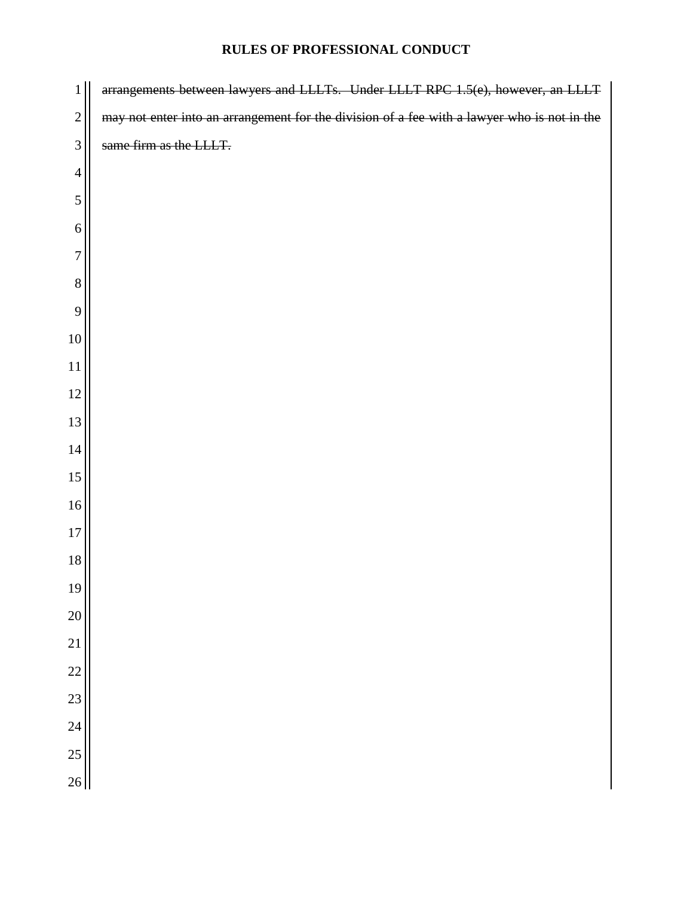| $\mathbf{1}$   | arrangements between lawyers and LLLTs. Under LLLT RPC 1.5(e), however, an LLLT             |
|----------------|---------------------------------------------------------------------------------------------|
| $\overline{2}$ | may not enter into an arrangement for the division of a fee with a lawyer who is not in the |
| 3              | same firm as the LLLT.                                                                      |
| $\overline{4}$ |                                                                                             |
| 5              |                                                                                             |
| 6              |                                                                                             |
| $\overline{7}$ |                                                                                             |
| $8\,$          |                                                                                             |
| 9              |                                                                                             |
| $10\,$         |                                                                                             |
| 11             |                                                                                             |
| 12             |                                                                                             |
| 13             |                                                                                             |
| 14             |                                                                                             |
| 15             |                                                                                             |
| 16             |                                                                                             |
| $17\,$         |                                                                                             |
| 18             |                                                                                             |
| 19             |                                                                                             |
| 20             |                                                                                             |
| 21             |                                                                                             |
| 22             |                                                                                             |
| 23             |                                                                                             |
| 24             |                                                                                             |
| 25             |                                                                                             |
| 26             |                                                                                             |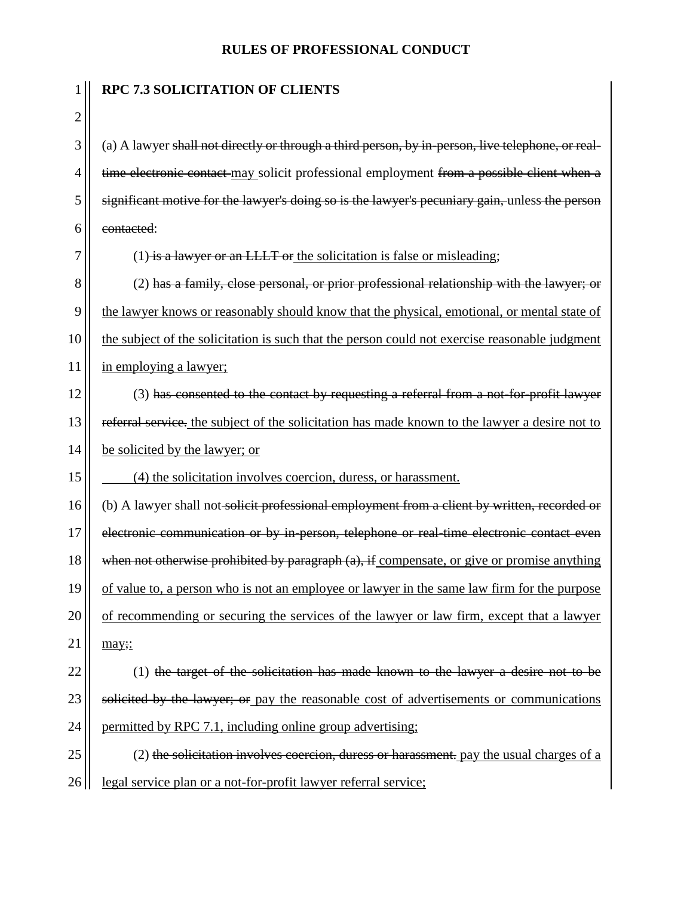7

15

1

#### **RPC 7.3 SOLICITATION OF CLIENTS**

(a) A lawyer shall not directly or through a third person, by in-person, live telephone, or realtime electronic contact may solicit professional employment from a possible client when a significant motive for the lawyer's doing so is the lawyer's pecuniary gain, unless the person contacted:

 $(1)$  is a lawyer or an LLLT or the solicitation is false or misleading;

8 9 10 11 (2) has a family, close personal, or prior professional relationship with the lawyer; or the lawyer knows or reasonably should know that the physical, emotional, or mental state of the subject of the solicitation is such that the person could not exercise reasonable judgment in employing a lawyer;

12 13 14 (3) has consented to the contact by requesting a referral from a not-for-profit lawyer referral service. the subject of the solicitation has made known to the lawyer a desire not to be solicited by the lawyer; or

(4) the solicitation involves coercion, duress, or harassment.

16 17 18 19 20 21 (b) A lawyer shall not solicit professional employment from a client by written, recorded or electronic communication or by in-person, telephone or real-time electronic contact even when not otherwise prohibited by paragraph (a), if compensate, or give or promise anything of value to, a person who is not an employee or lawyer in the same law firm for the purpose of recommending or securing the services of the lawyer or law firm, except that a lawyer may;:

22 23 24 (1) the target of the solicitation has made known to the lawyer a desire not to be solicited by the lawyer; or pay the reasonable cost of advertisements or communications permitted by RPC 7.1, including online group advertising;

25 26 (2) the solicitation involves coercion, duress or harassment. pay the usual charges of a legal service plan or a not-for-profit lawyer referral service;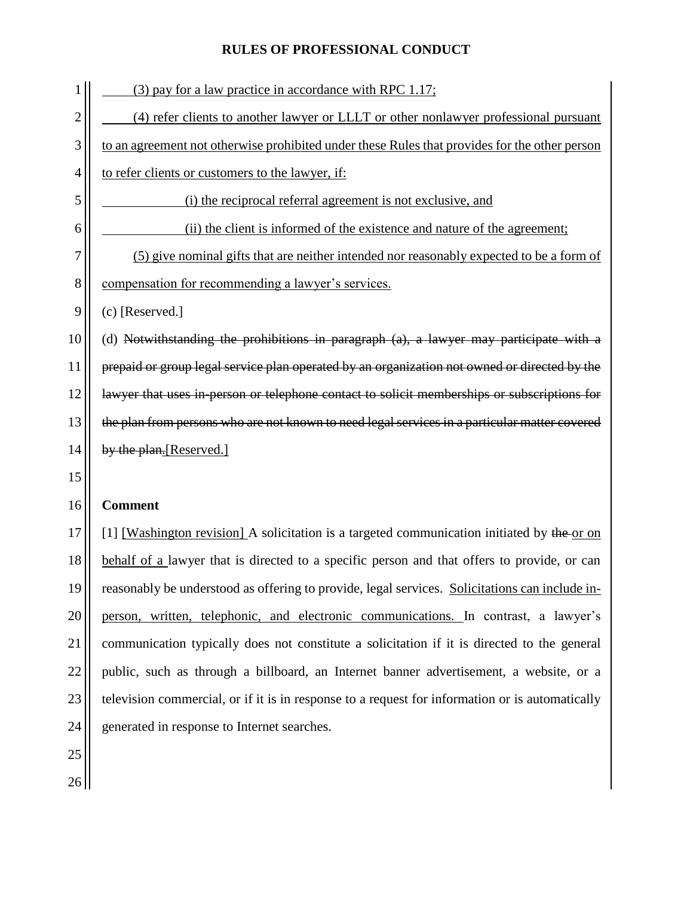|                | (3) pay for a law practice in accordance with RPC 1.17;                                         |
|----------------|-------------------------------------------------------------------------------------------------|
| $\overline{c}$ | (4) refer clients to another lawyer or LLLT or other nonlawyer professional pursuant            |
| 3              | to an agreement not otherwise prohibited under these Rules that provides for the other person   |
| $\overline{4}$ | to refer clients or customers to the lawyer, if:                                                |
| 5              | (i) the reciprocal referral agreement is not exclusive, and                                     |
| 6              | (ii) the client is informed of the existence and nature of the agreement;                       |
| 7              | (5) give nominal gifts that are neither intended nor reasonably expected to be a form of        |
| 8              | compensation for recommending a lawyer's services.                                              |
| 9              | (c) [Reserved.]                                                                                 |
| 10             | (d) Notwithstanding the prohibitions in paragraph $(a)$ , a lawyer may participate with a       |
| 11             | prepaid or group legal service plan operated by an organization not owned or directed by the    |
| 12             | lawyer that uses in-person or telephone contact to solicit memberships or subscriptions for     |
| 13             | the plan from persons who are not known to need legal services in a particular matter covered   |
|                |                                                                                                 |
| 14             | by the plan. [Reserved.]                                                                        |
| 15             |                                                                                                 |
| 16             | <b>Comment</b>                                                                                  |
| 17             | [1] [Washington revision] A solicitation is a targeted communication initiated by the or on     |
| 18             | behalf of a lawyer that is directed to a specific person and that offers to provide, or can     |
|                | reasonably be understood as offering to provide, legal services. Solicitations can include in-  |
| 20             | person, written, telephonic, and electronic communications. In contrast, a lawyer's             |
| 19<br>21       | communication typically does not constitute a solicitation if it is directed to the general     |
| 22             | public, such as through a billboard, an Internet banner advertisement, a website, or a          |
| 23             | television commercial, or if it is in response to a request for information or is automatically |
| 24             | generated in response to Internet searches.                                                     |
| 25             |                                                                                                 |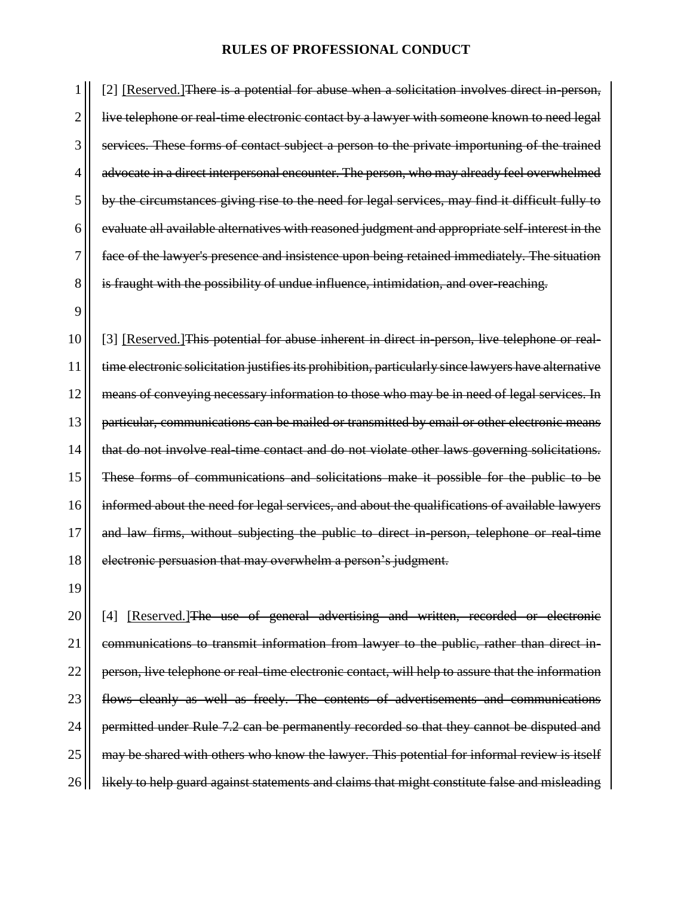1 2 3 4 5 6 7 8 [2] [Reserved.]There is a potential for abuse when a solicitation involves direct in-person, live telephone or real-time electronic contact by a lawyer with someone known to need legal services. These forms of contact subject a person to the private importuning of the trained advocate in a direct interpersonal encounter. The person, who may already feel overwhelmed by the circumstances giving rise to the need for legal services, may find it difficult fully to evaluate all available alternatives with reasoned judgment and appropriate self-interest in the face of the lawyer's presence and insistence upon being retained immediately. The situation is fraught with the possibility of undue influence, intimidation, and over-reaching.

9

10 11 12 13 14 15 16 17 18 [3] [Reserved.] This potential for abuse inherent in direct in-person, live telephone or realtime electronic solicitation justifies its prohibition, particularly since lawyers have alternative means of conveying necessary information to those who may be in need of legal services. In particular, communications can be mailed or transmitted by email or other electronic means that do not involve real-time contact and do not violate other laws governing solicitations. These forms of communications and solicitations make it possible for the public to be informed about the need for legal services, and about the qualifications of available lawyers and law firms, without subjecting the public to direct in-person, telephone or real-time electronic persuasion that may overwhelm a person's judgment.

19

20 21 22 23 24 25 26 [4] [Reserved.] The use of general advertising and written, recorded or electronic communications to transmit information from lawyer to the public, rather than direct inperson, live telephone or real-time electronic contact, will help to assure that the information flows cleanly as well as freely. The contents of advertisements and communications permitted under Rule 7.2 can be permanently recorded so that they cannot be disputed and may be shared with others who know the lawyer. This potential for informal review is itself likely to help guard against statements and claims that might constitute false and misleading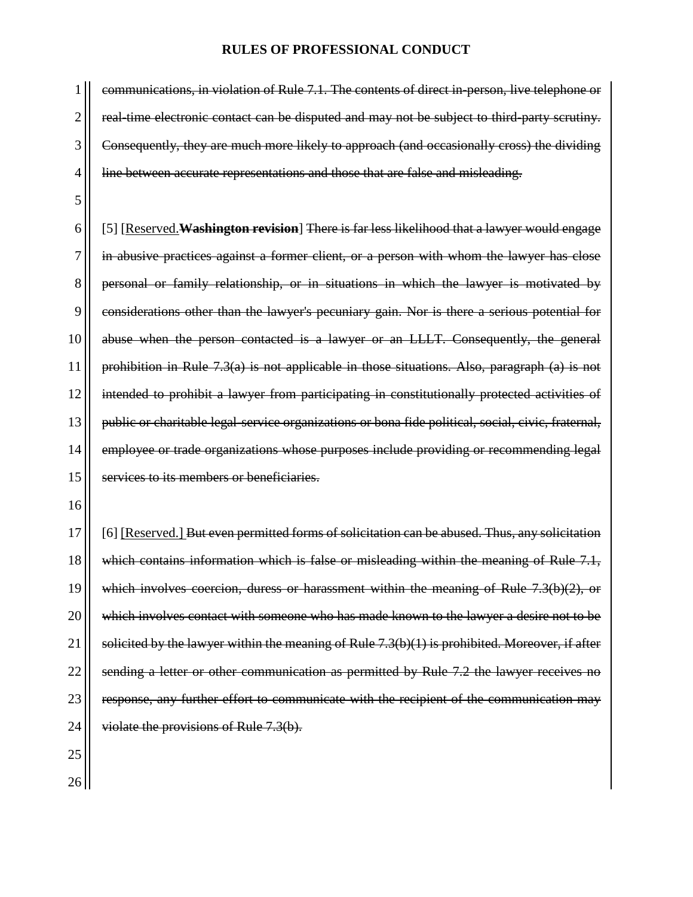1 2 3 4 communications, in violation of Rule 7.1. The contents of direct in-person, live telephone or real-time electronic contact can be disputed and may not be subject to third-party scrutiny. Consequently, they are much more likely to approach (and occasionally cross) the dividing line between accurate representations and those that are false and misleading.

6 7 8 9 10 11 12 13 14 15 [5] [Reserved.**Washington revision**] There is far less likelihood that a lawyer would engage in abusive practices against a former client, or a person with whom the lawyer has close personal or family relationship, or in situations in which the lawyer is motivated by considerations other than the lawyer's pecuniary gain. Nor is there a serious potential for abuse when the person contacted is a lawyer or an LLLT. Consequently, the general prohibition in Rule 7.3(a) is not applicable in those situations. Also, paragraph (a) is not intended to prohibit a lawyer from participating in constitutionally protected activities of public or charitable legal-service organizations or bona fide political, social, civic, fraternal, employee or trade organizations whose purposes include providing or recommending legal services to its members or beneficiaries.

16

5

17 18 19 20 21 22 23 24 [6] [Reserved.] But even permitted forms of solicitation can be abused. Thus, any solicitation which contains information which is false or misleading within the meaning of Rule 7.1, which involves coercion, duress or harassment within the meaning of Rule 7.3(b)(2), or which involves contact with someone who has made known to the lawyer a desire not to be solicited by the lawyer within the meaning of Rule 7.3(b)(1) is prohibited. Moreover, if after sending a letter or other communication as permitted by Rule 7.2 the lawyer receives no response, any further effort to communicate with the recipient of the communication may violate the provisions of Rule 7.3(b).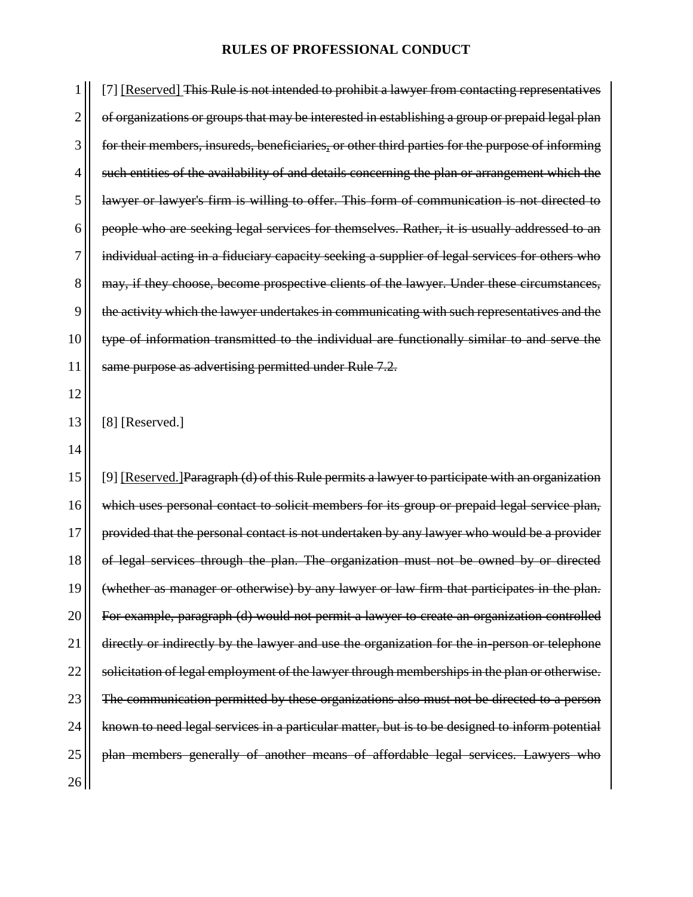1 2 3 4 5 6 7 8 9 10 11 12 13 14 15 16 17 18 19 20 21 22 23 24 25 26 [7] [Reserved] This Rule is not intended to prohibit a lawyer from contacting representatives of organizations or groups that may be interested in establishing a group or prepaid legal plan for their members, insureds, beneficiaries, or other third parties for the purpose of informing such entities of the availability of and details concerning the plan or arrangement which the lawyer or lawyer's firm is willing to offer. This form of communication is not directed to people who are seeking legal services for themselves. Rather, it is usually addressed to an individual acting in a fiduciary capacity seeking a supplier of legal services for others who may, if they choose, become prospective clients of the lawyer. Under these circumstances, the activity which the lawyer undertakes in communicating with such representatives and the type of information transmitted to the individual are functionally similar to and serve the same purpose as advertising permitted under Rule 7.2. [8] [Reserved.] [9] [Reserved.] Paragraph (d) of this Rule permits a lawyer to participate with an organization which uses personal contact to solicit members for its group or prepaid legal service plan, provided that the personal contact is not undertaken by any lawyer who would be a provider of legal services through the plan. The organization must not be owned by or directed (whether as manager or otherwise) by any lawyer or law firm that participates in the plan. For example, paragraph (d) would not permit a lawyer to create an organization controlled directly or indirectly by the lawyer and use the organization for the in-person or telephone solicitation of legal employment of the lawyer through memberships in the plan or otherwise. The communication permitted by these organizations also must not be directed to a person known to need legal services in a particular matter, but is to be designed to inform potential plan members generally of another means of affordable legal services. Lawyers who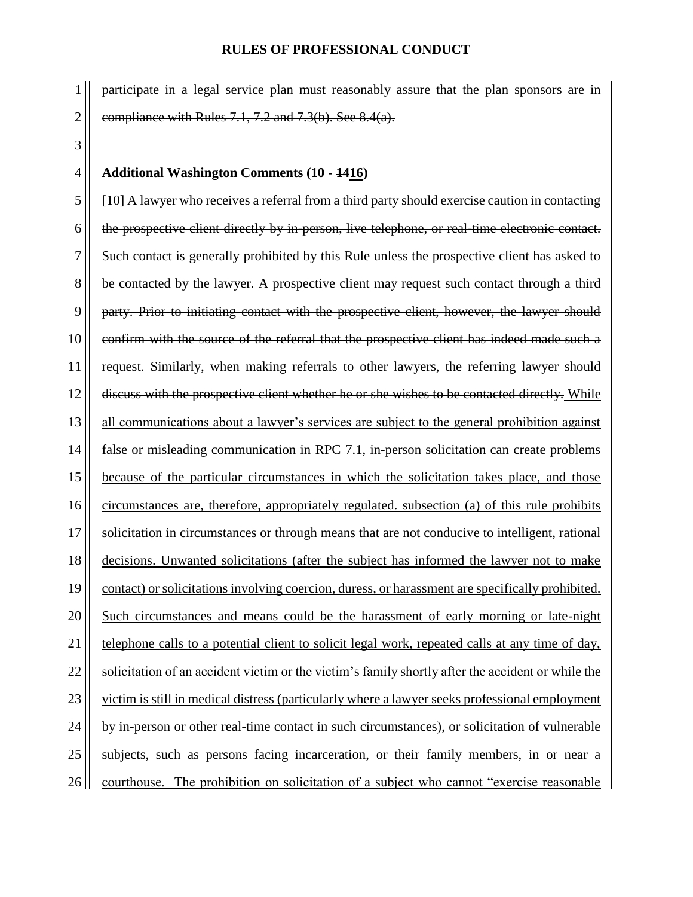1 2 participate in a legal service plan must reasonably assure that the plan sponsors are in compliance with Rules  $7.1, 7.2$  and  $7.3(b)$ . See  $8.4(a)$ .

3 4

#### **Additional Washington Comments (10 - 1416)**

5 6 7 8 9 10 11 12 13 14 15 16 17 18 19 20 21 22 23 24 25 26 [10] A lawyer who receives a referral from a third party should exercise caution in contacting the prospective client directly by in-person, live telephone, or real-time electronic contact. Such contact is generally prohibited by this Rule unless the prospective client has asked to be contacted by the lawyer. A prospective client may request such contact through a third party. Prior to initiating contact with the prospective client, however, the lawyer should confirm with the source of the referral that the prospective client has indeed made such a request. Similarly, when making referrals to other lawyers, the referring lawyer should discuss with the prospective client whether he or she wishes to be contacted directly. While all communications about a lawyer's services are subject to the general prohibition against false or misleading communication in RPC 7.1, in-person solicitation can create problems because of the particular circumstances in which the solicitation takes place, and those circumstances are, therefore, appropriately regulated. subsection (a) of this rule prohibits solicitation in circumstances or through means that are not conducive to intelligent, rational decisions. Unwanted solicitations (after the subject has informed the lawyer not to make contact) or solicitations involving coercion, duress, or harassment are specifically prohibited. Such circumstances and means could be the harassment of early morning or late-night telephone calls to a potential client to solicit legal work, repeated calls at any time of day, solicitation of an accident victim or the victim's family shortly after the accident or while the victim is still in medical distress (particularly where a lawyer seeks professional employment by in-person or other real-time contact in such circumstances), or solicitation of vulnerable subjects, such as persons facing incarceration, or their family members, in or near a courthouse. The prohibition on solicitation of a subject who cannot "exercise reasonable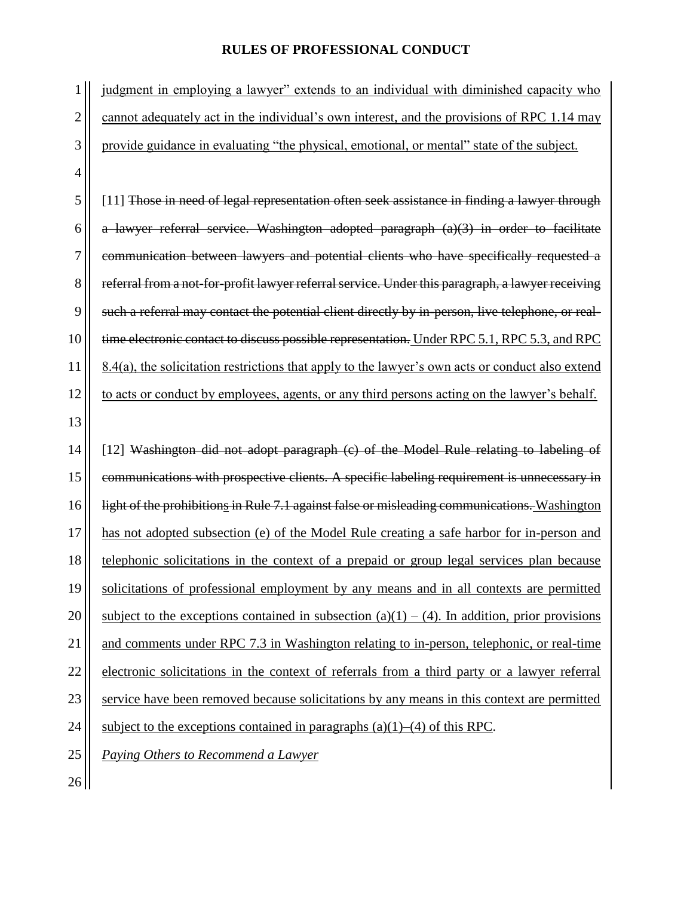1 2 3 4 5 6 7 8 9 10 11 12 13 14 15 16 17 18 19 20 21 22 23 24 25 26 judgment in employing a lawyer" extends to an individual with diminished capacity who cannot adequately act in the individual's own interest, and the provisions of RPC 1.14 may provide guidance in evaluating "the physical, emotional, or mental" state of the subject. [11] Those in need of legal representation often seek assistance in finding a lawyer through a lawyer referral service. Washington adopted paragraph (a)(3) in order to facilitate communication between lawyers and potential clients who have specifically requested a referral from a not-for-profit lawyer referral service. Under this paragraph, a lawyer receiving such a referral may contact the potential client directly by in-person, live telephone, or realtime electronic contact to discuss possible representation. Under RPC 5.1, RPC 5.3, and RPC 8.4(a), the solicitation restrictions that apply to the lawyer's own acts or conduct also extend to acts or conduct by employees, agents, or any third persons acting on the lawyer's behalf. [12] Washington did not adopt paragraph (c) of the Model Rule relating to labeling of communications with prospective clients. A specific labeling requirement is unnecessary in light of the prohibitions in Rule 7.1 against false or misleading communications. Washington has not adopted subsection (e) of the Model Rule creating a safe harbor for in-person and telephonic solicitations in the context of a prepaid or group legal services plan because solicitations of professional employment by any means and in all contexts are permitted subject to the exceptions contained in subsection  $(a)(1) - (4)$ . In addition, prior provisions and comments under RPC 7.3 in Washington relating to in-person, telephonic, or real-time electronic solicitations in the context of referrals from a third party or a lawyer referral service have been removed because solicitations by any means in this context are permitted subject to the exceptions contained in paragraphs  $(a)(1)$ – $(4)$  of this RPC. *Paying Others to Recommend a Lawyer*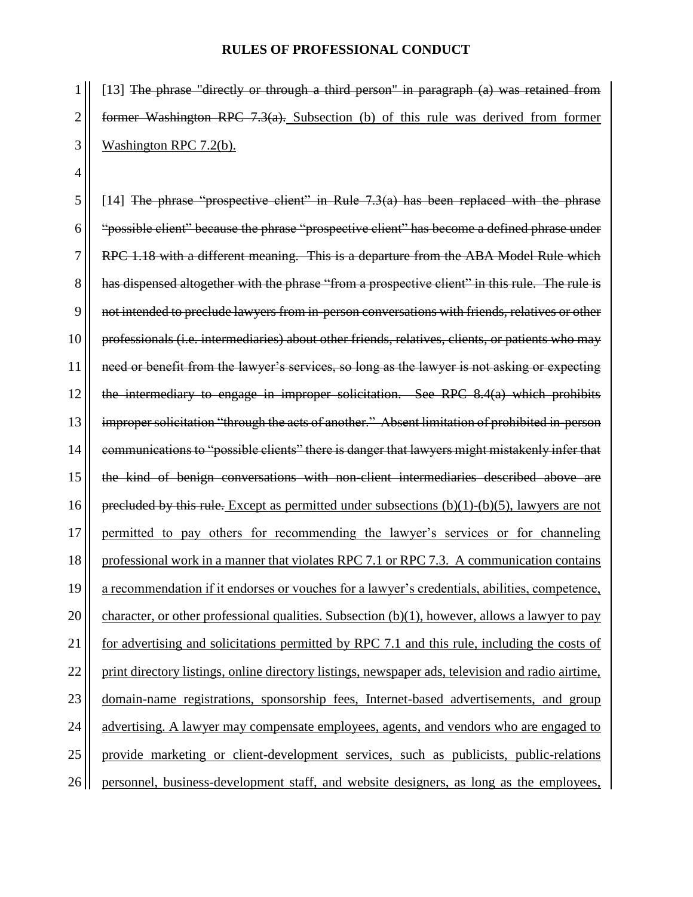1 2 3 [13] The phrase "directly or through a third person" in paragraph (a) was retained from former Washington RPC 7.3(a). Subsection (b) of this rule was derived from former Washington RPC 7.2(b).

4

5 6 7 8 9 10 11 12 13 14 15 16 17 18 19 20 21 22 23 24 25 26  $[14]$  The phrase "prospective client" in Rule 7.3(a) has been replaced with the phrase "possible client" because the phrase "prospective client" has become a defined phrase under RPC 1.18 with a different meaning. This is a departure from the ABA Model Rule which has dispensed altogether with the phrase "from a prospective client" in this rule. The rule is not intended to preclude lawyers from in-person conversations with friends, relatives or other professionals (i.e. intermediaries) about other friends, relatives, clients, or patients who may need or benefit from the lawyer's services, so long as the lawyer is not asking or expecting the intermediary to engage in improper solicitation. See RPC 8.4(a) which prohibits improper solicitation "through the acts of another." Absent limitation of prohibited in-person communications to "possible clients" there is danger that lawyers might mistakenly infer that the kind of benign conversations with non-client intermediaries described above are precluded by this rule. Except as permitted under subsections  $(b)(1)-(b)(5)$ , lawyers are not permitted to pay others for recommending the lawyer's services or for channeling professional work in a manner that violates RPC 7.1 or RPC 7.3. A communication contains a recommendation if it endorses or vouches for a lawyer's credentials, abilities, competence, character, or other professional qualities. Subsection (b)(1), however, allows a lawyer to pay for advertising and solicitations permitted by RPC 7.1 and this rule, including the costs of print directory listings, online directory listings, newspaper ads, television and radio airtime, domain-name registrations, sponsorship fees, Internet-based advertisements, and group advertising. A lawyer may compensate employees, agents, and vendors who are engaged to provide marketing or client-development services, such as publicists, public-relations personnel, business-development staff, and website designers, as long as the employees,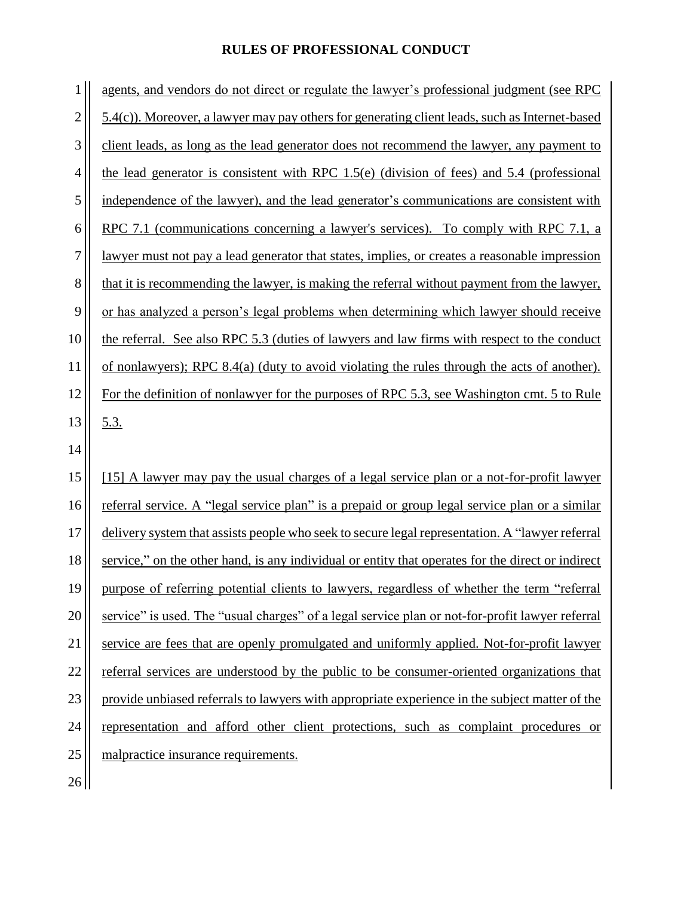| 1              | agents, and vendors do not direct or regulate the lawyer's professional judgment (see RPC         |
|----------------|---------------------------------------------------------------------------------------------------|
| $\overline{c}$ | 5.4(c)). Moreover, a lawyer may pay others for generating client leads, such as Internet-based    |
| 3              | client leads, as long as the lead generator does not recommend the lawyer, any payment to         |
| $\overline{4}$ | the lead generator is consistent with RPC 1.5(e) (division of fees) and 5.4 (professional         |
| 5              | independence of the lawyer), and the lead generator's communications are consistent with          |
| 6              | RPC 7.1 (communications concerning a lawyer's services). To comply with RPC 7.1, a                |
| 7              | lawyer must not pay a lead generator that states, implies, or creates a reasonable impression     |
| 8              | that it is recommending the lawyer, is making the referral without payment from the lawyer,       |
| 9              | or has analyzed a person's legal problems when determining which lawyer should receive            |
| 10             | the referral. See also RPC 5.3 (duties of lawyers and law firms with respect to the conduct       |
| 11             | of nonlawyers); RPC 8.4(a) (duty to avoid violating the rules through the acts of another).       |
| 12             | For the definition of nonlawyer for the purposes of RPC 5.3, see Washington cmt. 5 to Rule        |
| 13             | <u>5.3.</u>                                                                                       |
| 14             |                                                                                                   |
| 15             | [15] A lawyer may pay the usual charges of a legal service plan or a not-for-profit lawyer        |
| 16             | referral service. A "legal service plan" is a prepaid or group legal service plan or a similar    |
| 17             | delivery system that assists people who seek to secure legal representation. A "lawyer referral   |
| 18             | service," on the other hand, is any individual or entity that operates for the direct or indirect |
| 19             |                                                                                                   |
|                | purpose of referring potential clients to lawyers, regardless of whether the term "referral       |
| 20             | service" is used. The "usual charges" of a legal service plan or not-for-profit lawyer referral   |
| 21             | service are fees that are openly promulgated and uniformly applied. Not-for-profit lawyer         |
| 22             | referral services are understood by the public to be consumer-oriented organizations that         |
| 23             | provide unbiased referrals to lawyers with appropriate experience in the subject matter of the    |
| 24             | representation and afford other client protections, such as complaint procedures or               |
| 25             | malpractice insurance requirements.                                                               |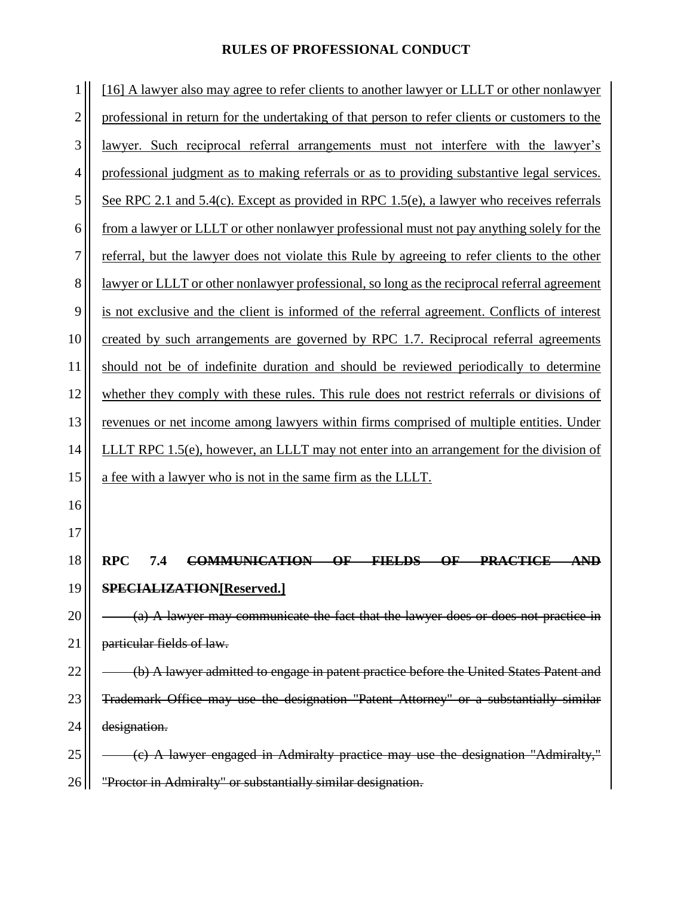| $\mathbf{1}$   | [16] A lawyer also may agree to refer clients to another lawyer or LLLT or other nonlawyer                                              |
|----------------|-----------------------------------------------------------------------------------------------------------------------------------------|
| $\overline{2}$ | professional in return for the undertaking of that person to refer clients or customers to the                                          |
| 3              | <u>lawyer. Such reciprocal referral arrangements must not interfere with the lawyer's</u>                                               |
| $\overline{4}$ | professional judgment as to making referrals or as to providing substantive legal services.                                             |
| 5              | See RPC 2.1 and 5.4(c). Except as provided in RPC 1.5(e), a lawyer who receives referrals                                               |
| 6              | from a lawyer or LLLT or other nonlawyer professional must not pay anything solely for the                                              |
| 7              | referral, but the lawyer does not violate this Rule by agreeing to refer clients to the other                                           |
| 8              | <u>lawyer or LLLT or other nonlawyer professional, so long as the reciprocal referral agreement</u>                                     |
| 9              | is not exclusive and the client is informed of the referral agreement. Conflicts of interest                                            |
| 10             | created by such arrangements are governed by RPC 1.7. Reciprocal referral agreements                                                    |
| 11             | should not be of indefinite duration and should be reviewed periodically to determine                                                   |
| 12             | whether they comply with these rules. This rule does not restrict referrals or divisions of                                             |
| 13             | revenues or net income among lawyers within firms comprised of multiple entities. Under                                                 |
| 14             | <u>LLLT RPC 1.5(e), however, an LLLT may not enter into an arrangement for the division of</u>                                          |
| 15             | a fee with a lawyer who is not in the same firm as the LLLT.                                                                            |
| 16             |                                                                                                                                         |
| 17             |                                                                                                                                         |
| 18             | <b>RPC</b><br>7.4<br>COMMUNICATION OF<br>$\overline{\text{OF}}$<br><b>PRACTICE</b><br><b>FIELDS</b><br>$\overline{\bf A}{\bf N}{\bf D}$ |
| 19             | SPECIALIZATION[Reserved.]                                                                                                               |
| 20             | (a) A lawyer may communicate the fact that the lawyer does or does not practice in                                                      |
| 21             | particular fields of law.                                                                                                               |
| 22             | (b) A lawyer admitted to engage in patent practice before the United States Patent and                                                  |
| 23             | Trademark Office may use the designation "Patent Attorney" or a substantially similar                                                   |
| 24             | designation.                                                                                                                            |
| 25             | (c) A lawyer engaged in Admiralty practice may use the designation "Admiralty,"                                                         |
| 26             | "Proctor in Admiralty" or substantially similar designation.                                                                            |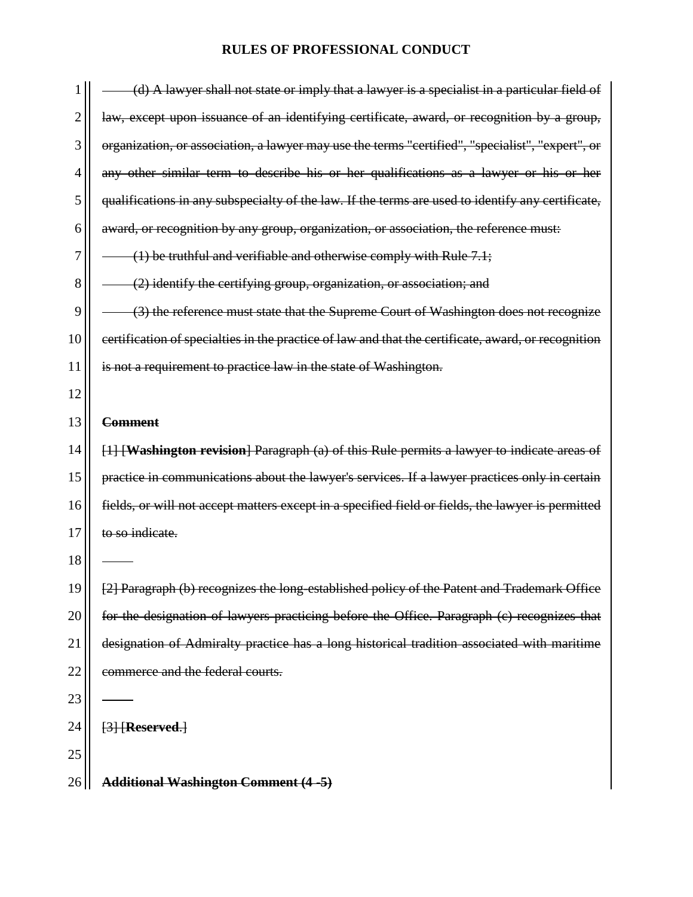| 1  | (d) A lawyer shall not state or imply that a lawyer is a specialist in a particular field of        |
|----|-----------------------------------------------------------------------------------------------------|
| 2  | law, except upon issuance of an identifying certificate, award, or recognition by a group,          |
| 3  | organization, or association, a lawyer may use the terms "certified", "specialist", "expert", or    |
| 4  | any other similar term to describe his or her qualifications as a lawyer or his or her              |
| 5  | qualifications in any subspecialty of the law. If the terms are used to identify any certificate,   |
| 6  | award, or recognition by any group, organization, or association, the reference must:               |
| 7  | $(1)$ be truthful and verifiable and otherwise comply with Rule 7.1;                                |
| 8  | (2) identify the certifying group, organization, or association; and                                |
| 9  | (3) the reference must state that the Supreme Court of Washington does not recognize                |
| 10 | certification of specialties in the practice of law and that the certificate, award, or recognition |
| 11 | is not a requirement to practice law in the state of Washington.                                    |
| 12 |                                                                                                     |
| 13 | <b>Comment</b>                                                                                      |
|    |                                                                                                     |
| 14 | [1] [Washington revision] Paragraph (a) of this Rule permits a lawyer to indicate areas of          |
| 15 | practice in communications about the lawyer's services. If a lawyer practices only in certain       |
| 16 | fields, or will not accept matters except in a specified field or fields, the lawyer is permitted   |
| 17 | to so indicate.                                                                                     |
| 18 |                                                                                                     |
| 19 | [2] Paragraph (b) recognizes the long-established policy of the Patent and Trademark Office         |
| 20 | for the designation of lawyers practicing before the Office. Paragraph (c) recognizes that          |
| 21 | designation of Admiralty practice has a long historical tradition associated with maritime          |
| 22 | commerce and the federal courts.                                                                    |
| 23 |                                                                                                     |
| 24 | $[3]$ [Reserved.]                                                                                   |
| 25 |                                                                                                     |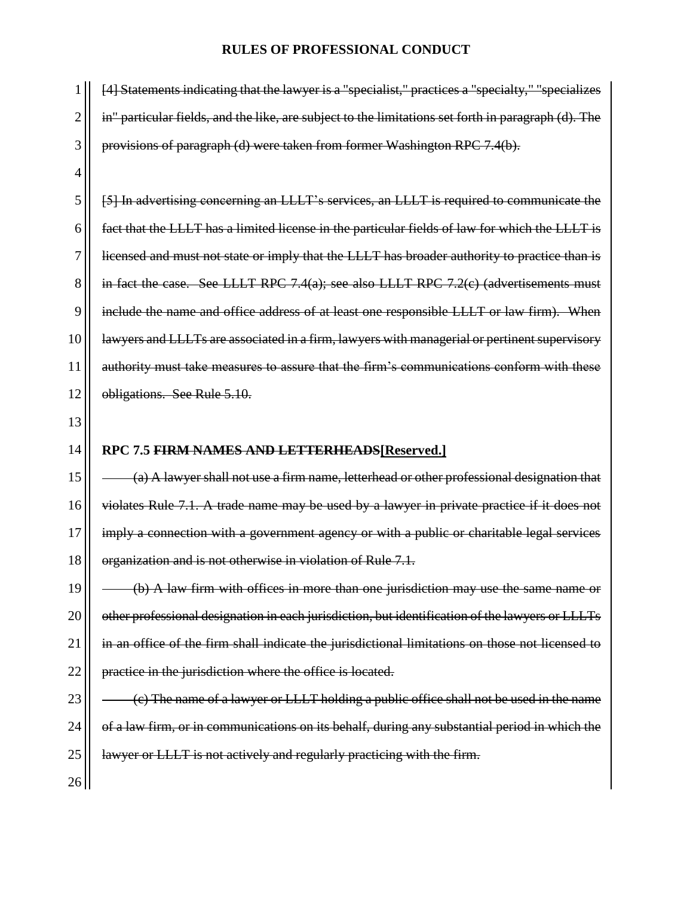[4] Statements indicating that the lawyer is a "specialist," practices a "specialty," "specializes in" particular fields, and the like, are subject to the limitations set forth in paragraph (d). The provisions of paragraph (d) were taken from former Washington RPC 7.4(b).

- 5 6 7 8 9 10 11 12 [5] In advertising concerning an LLLT's services, an LLLT is required to communicate the fact that the LLLT has a limited license in the particular fields of law for which the LLLT is licensed and must not state or imply that the LLLT has broader authority to practice than is in fact the case. See LLLT RPC 7.4(a); see also LLLT RPC 7.2(c) (advertisements must include the name and office address of at least one responsible LLLT or law firm). When lawyers and LLLTs are associated in a firm, lawyers with managerial or pertinent supervisory authority must take measures to assure that the firm's communications conform with these obligations. See Rule 5.10.
- 13

1

2

3

4

14

#### **RPC 7.5 FIRM NAMES AND LETTERHEADS[Reserved.]**

15 16 17 18 (a) A lawyer shall not use a firm name, letterhead or other professional designation that violates Rule 7.1. A trade name may be used by a lawyer in private practice if it does not imply a connection with a government agency or with a public or charitable legal services organization and is not otherwise in violation of Rule 7.1.

19 20 21 22 (b) A law firm with offices in more than one jurisdiction may use the same name or other professional designation in each jurisdiction, but identification of the lawyers or LLLTs in an office of the firm shall indicate the jurisdictional limitations on those not licensed to practice in the jurisdiction where the office is located.

23 24 25 (c) The name of a lawyer or LLLT holding a public office shall not be used in the name of a law firm, or in communications on its behalf, during any substantial period in which the lawyer or LLLT is not actively and regularly practicing with the firm.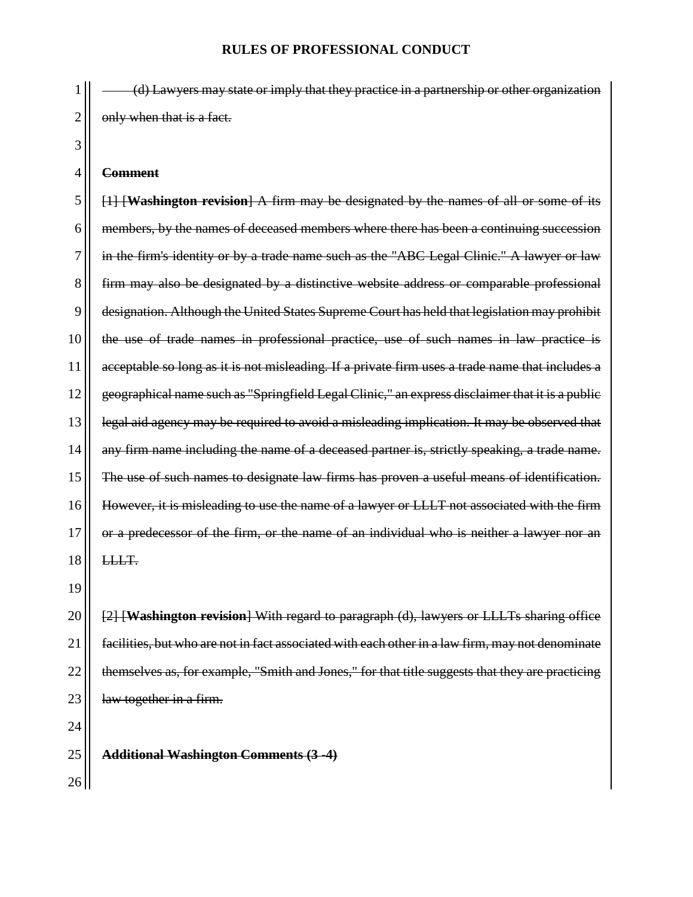(d) Lawyers may state or imply that they practice in a partnership or other organization only when that is a fact.

#### 4 **Comment**

1

2

3

5 6 7 8 9 10 11 12 13 14 15 16 17 18 [1] [**Washington revision**] A firm may be designated by the names of all or some of its members, by the names of deceased members where there has been a continuing succession in the firm's identity or by a trade name such as the "ABC Legal Clinic." A lawyer or law firm may also be designated by a distinctive website address or comparable professional designation. Although the United States Supreme Court has held that legislation may prohibit the use of trade names in professional practice, use of such names in law practice is acceptable so long as it is not misleading. If a private firm uses a trade name that includes a geographical name such as "Springfield Legal Clinic," an express disclaimer that it is a public legal aid agency may be required to avoid a misleading implication. It may be observed that any firm name including the name of a deceased partner is, strictly speaking, a trade name. The use of such names to designate law firms has proven a useful means of identification. However, it is misleading to use the name of a lawyer or LLLT not associated with the firm or a predecessor of the firm, or the name of an individual who is neither a lawyer nor an LLLT.

19 20

21 22 23 [2] [**Washington revision**] With regard to paragraph (d), lawyers or LLLTs sharing office facilities, but who are not in fact associated with each other in a law firm, may not denominate themselves as, for example, "Smith and Jones," for that title suggests that they are practicing law together in a firm.

**Additional Washington Comments (3 -4)**

25 26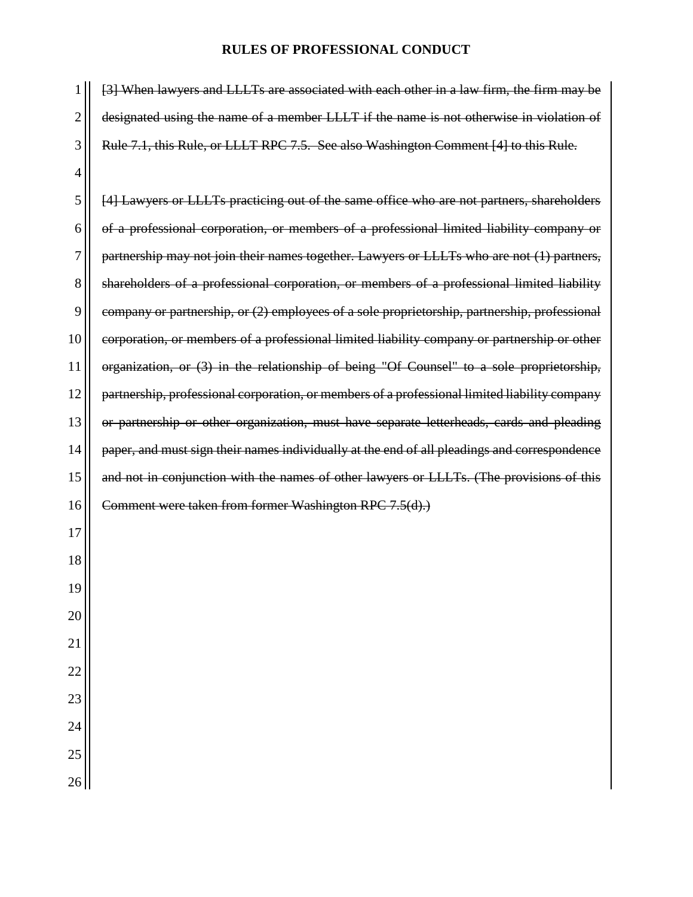[3] When lawyers and LLLTs are associated with each other in a law firm, the firm may be designated using the name of a member LLLT if the name is not otherwise in violation of Rule 7.1, this Rule, or LLLT RPC 7.5. See also Washington Comment [4] to this Rule.

 [4] Lawyers or LLLTs practicing out of the same office who are not partners, shareholders of a professional corporation, or members of a professional limited liability company or partnership may not join their names together. Lawyers or LLLTs who are not (1) partners, shareholders of a professional corporation, or members of a professional limited liability company or partnership, or (2) employees of a sole proprietorship, partnership, professional corporation, or members of a professional limited liability company or partnership or other organization, or (3) in the relationship of being "Of Counsel" to a sole proprietorship, partnership, professional corporation, or members of a professional limited liability company or partnership or other organization, must have separate letterheads, cards and pleading paper, and must sign their names individually at the end of all pleadings and correspondence and not in conjunction with the names of other lawyers or LLLTs. (The provisions of this Comment were taken from former Washington RPC 7.5(d).)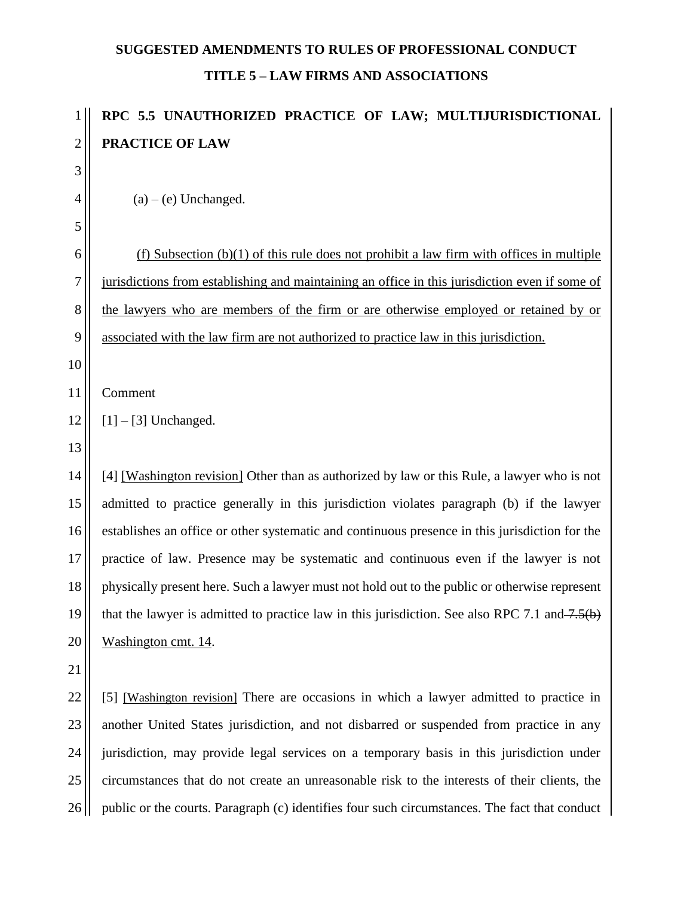### **SUGGESTED AMENDMENTS TO RULES OF PROFESSIONAL CONDUCT TITLE 5 – LAW FIRMS AND ASSOCIATIONS**

#### 1 2 3 4 5 6 7 8 9 10 11 12 13 14 15 16 17 18 19 20 21 22 23 24 25 26 **RPC 5.5 UNAUTHORIZED PRACTICE OF LAW; MULTIJURISDICTIONAL PRACTICE OF LAW**  $(a) - (e)$  Unchanged.  $(f)$  Subsection  $(b)(1)$  of this rule does not prohibit a law firm with offices in multiple jurisdictions from establishing and maintaining an office in this jurisdiction even if some of the lawyers who are members of the firm or are otherwise employed or retained by or associated with the law firm are not authorized to practice law in this jurisdiction. Comment  $[1] - [3]$  Unchanged. [4] [Washington revision] Other than as authorized by law or this Rule, a lawyer who is not admitted to practice generally in this jurisdiction violates paragraph (b) if the lawyer establishes an office or other systematic and continuous presence in this jurisdiction for the practice of law. Presence may be systematic and continuous even if the lawyer is not physically present here. Such a lawyer must not hold out to the public or otherwise represent that the lawyer is admitted to practice law in this jurisdiction. See also RPC 7.1 and  $-7.5(b)$ Washington cmt. 14. [5] [Washington revision] There are occasions in which a lawyer admitted to practice in another United States jurisdiction, and not disbarred or suspended from practice in any jurisdiction, may provide legal services on a temporary basis in this jurisdiction under circumstances that do not create an unreasonable risk to the interests of their clients, the public or the courts. Paragraph (c) identifies four such circumstances. The fact that conduct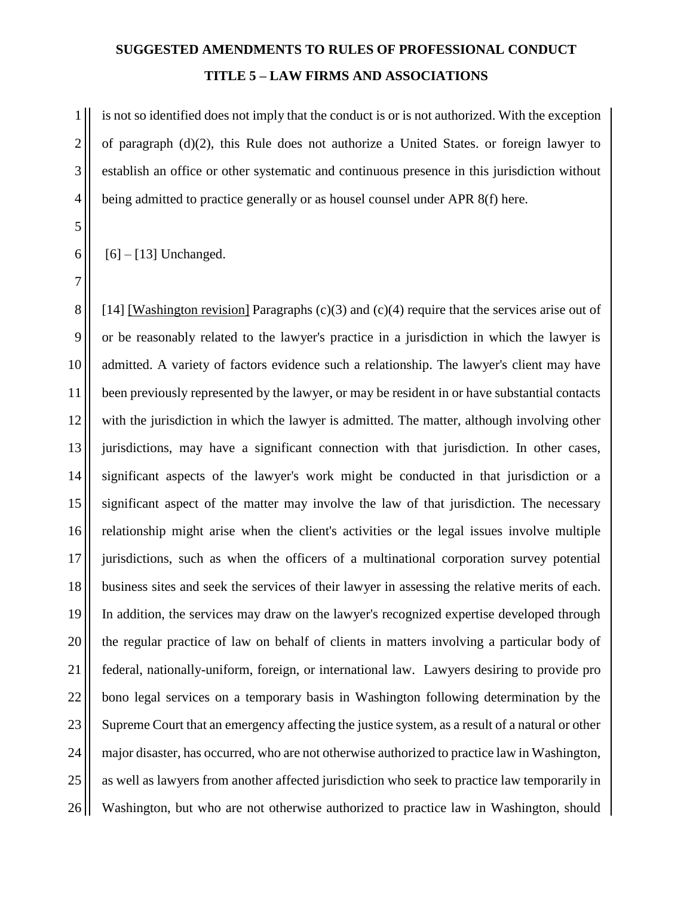### **SUGGESTED AMENDMENTS TO RULES OF PROFESSIONAL CONDUCT TITLE 5 – LAW FIRMS AND ASSOCIATIONS**

1 2 is not so identified does not imply that the conduct is or is not authorized. With the exception of paragraph (d)(2), this Rule does not authorize a United States. or foreign lawyer to establish an office or other systematic and continuous presence in this jurisdiction without being admitted to practice generally or as housel counsel under APR 8(f) here.

[6] – [13] Unchanged.

25 26 [14] [Washington revision] Paragraphs  $(c)(3)$  and  $(c)(4)$  require that the services arise out of or be reasonably related to the lawyer's practice in a jurisdiction in which the lawyer is admitted. A variety of factors evidence such a relationship. The lawyer's client may have been previously represented by the lawyer, or may be resident in or have substantial contacts with the jurisdiction in which the lawyer is admitted. The matter, although involving other jurisdictions, may have a significant connection with that jurisdiction. In other cases, significant aspects of the lawyer's work might be conducted in that jurisdiction or a significant aspect of the matter may involve the law of that jurisdiction. The necessary relationship might arise when the client's activities or the legal issues involve multiple jurisdictions, such as when the officers of a multinational corporation survey potential business sites and seek the services of their lawyer in assessing the relative merits of each. In addition, the services may draw on the lawyer's recognized expertise developed through the regular practice of law on behalf of clients in matters involving a particular body of federal, nationally-uniform, foreign, or international law. Lawyers desiring to provide pro bono legal services on a temporary basis in Washington following determination by the Supreme Court that an emergency affecting the justice system, as a result of a natural or other major disaster, has occurred, who are not otherwise authorized to practice law in Washington, as well as lawyers from another affected jurisdiction who seek to practice law temporarily in Washington, but who are not otherwise authorized to practice law in Washington, should